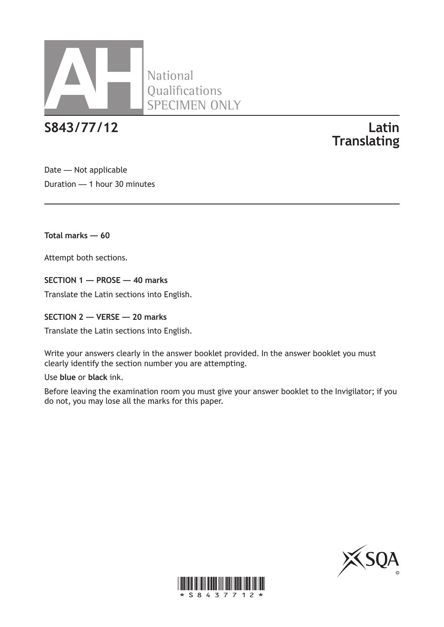

**S843/77/12 Latin**

**Translating**

Date — Not applicable Duration — 1 hour 30 minutes

**Total marks — 60**

Attempt both sections.

**SECTION 1 — PROSE — 40 marks**

Translate the Latin sections into English.

**SECTION 2 — VERSE — 20 marks**

Translate the Latin sections into English.

Write your answers clearly in the answer booklet provided. In the answer booklet you must clearly identify the section number you are attempting.

Use **blue** or **black** ink.

Before leaving the examination room you must give your answer booklet to the Invigilator; if you do not, you may lose all the marks for this paper.



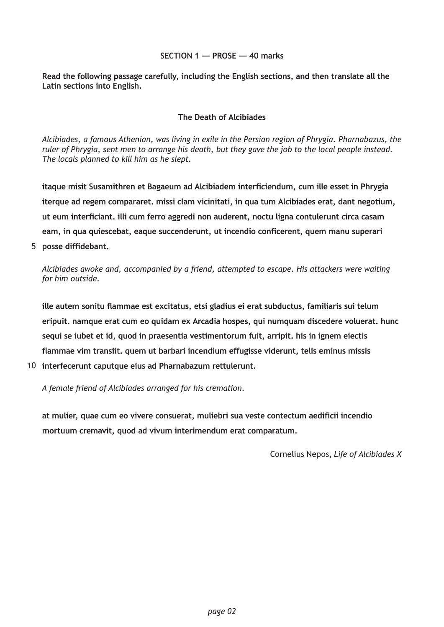#### **SECTION 1 — PROSE — 40 marks**

**Read the following passage carefully, including the English sections, and then translate all the Latin sections into English.**

#### **The Death of Alcibiades**

*Alcibiades, a famous Athenian, was living in exile in the Persian region of Phrygia. Pharnabazus, the ruler of Phrygia, sent men to arrange his death, but they gave the job to the local people instead. The locals planned to kill him as he slept.*

**itaque misit Susamithren et Bagaeum ad Alcibiadem interficiendum, cum ille esset in Phrygia iterque ad regem compararet. missi clam vicinitati, in qua tum Alcibiades erat, dant negotium, ut eum interficiant. illi cum ferro aggredi non auderent, noctu ligna contulerunt circa casam eam, in qua quiescebat, eaque succenderunt, ut incendio conficerent, quem manu superari posse diffidebant.** 5

*Alcibiades awoke and, accompanied by a friend, attempted to escape. His attackers were waiting for him outside.*

**ille autem sonitu flammae est excitatus, etsi gladius ei erat subductus, familiaris sui telum eripuit. namque erat cum eo quidam ex Arcadia hospes, qui numquam discedere voluerat. hunc sequi se iubet et id, quod in praesentia vestimentorum fuit, arripit. his in ignem eiectis flammae vim transiit. quem ut barbari incendium effugisse viderunt, telis eminus missis** 

**interfecerunt caputque eius ad Pharnabazum rettulerunt.** 10

*A female friend of Alcibiades arranged for his cremation.*

**at mulier, quae cum eo vivere consuerat, muliebri sua veste contectum aedificii incendio mortuum cremavit, quod ad vivum interimendum erat comparatum.**

Cornelius Nepos, *Life of Alcibiades X*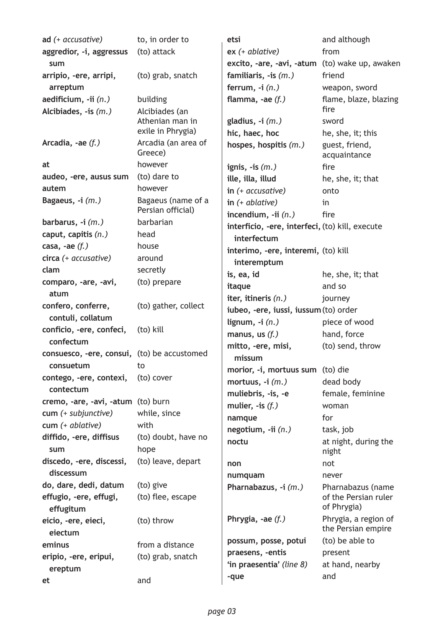| ad $(+$ accusative)                         | to, in order to                | etsi                                            | and although                        |  |
|---------------------------------------------|--------------------------------|-------------------------------------------------|-------------------------------------|--|
| aggredior, -i, aggressus                    | (to) attack                    | $ex (+ ablative)$                               | from                                |  |
| sum                                         |                                | excito, -are, -avi, -atum (to) wake up, awaken  |                                     |  |
| arripio, -ere, arripi,                      | (to) grab, snatch              | familiaris, $-$ is $(m.)$                       | friend                              |  |
| arreptum                                    |                                | ferrum, $-i(n)$                                 | weapon, sword                       |  |
| aedificium, -ii (n.)                        | building                       | flamma, $-ae(f.)$                               | flame, blaze, blazing               |  |
| Alcibiades, $-$ is $(m.)$                   | Alcibiades (an                 |                                                 | fire                                |  |
|                                             | Athenian man in                | gladius, $-i$ $(m.)$                            | sword                               |  |
|                                             | exile in Phrygia)              | hic, haec, hoc                                  | he, she, it; this                   |  |
| Arcadia, -ae $(f.)$                         | Arcadia (an area of<br>Greece) | hospes, hospitis (m.)                           | guest, friend,<br>acquaintance      |  |
| at                                          | however                        | ignis, $-$ is $(m.)$                            | fire                                |  |
| audeo, -ere, ausus sum                      | (to) dare to                   | ille, illa, illud                               | he, she, it; that                   |  |
| autem                                       | however                        | in $($ + accusative $)$                         | onto                                |  |
| Bagaeus, -i (m.)                            | Bagaeus (name of a             | in $(+)$ ablative)                              | in                                  |  |
|                                             | Persian official)              | incendium, $-i$ i $(n.)$                        | fire                                |  |
| barbarus, $-i(m.)$                          | barbarian                      | interficio, -ere, interfeci, (to) kill, execute |                                     |  |
| caput, capitis $(n.)$                       | head                           | interfectum                                     |                                     |  |
| casa, -ae $(f.)$                            | house                          | interimo, -ere, interemi, (to) kill             |                                     |  |
| circa (+ accusative)                        | around                         | interemptum                                     |                                     |  |
| clam                                        | secretly                       | is, ea, id                                      | he, she, it; that                   |  |
| comparo, -are, -avi,                        | (to) prepare                   | itaque                                          | and so                              |  |
| atum                                        |                                | iter, itineris (n.)                             | journey                             |  |
| confero, conferre,                          | (to) gather, collect           | iubeo, -ere, iussi, iussum (to) order           |                                     |  |
| contuli, collatum                           |                                | lignum, $-i(n)$                                 | piece of wood                       |  |
| conficio, -ere, confeci,                    | (to) kill                      | manus, us $(f.)$                                | hand, force                         |  |
| confectum                                   |                                | mitto, -ere, misi,                              | (to) send, throw                    |  |
| consuesco, -ere, consui, (to) be accustomed |                                | missum                                          |                                     |  |
| consuetum                                   | to.                            | morior, -i, mortuus sum (to) die                |                                     |  |
| contego, -ere, contexi,                     | (to) cover                     | mortuus, $-i$ $(m.)$                            | dead body                           |  |
| contectum                                   |                                | muliebris, -is, -e                              | female, feminine                    |  |
| cremo, -are, -avi, -atum (to) burn          |                                | mulier, $-$ is $(f.)$                           | woman                               |  |
| cum (+ subjunctive)                         | while, since                   | namque                                          | for                                 |  |
| $cum (+ ablative)$                          | with                           | negotium, -ii (n.)                              | task, job                           |  |
| diffido, -ere, diffisus<br>sum              | (to) doubt, have no<br>hope    | noctu                                           | at night, during the<br>night       |  |
| discedo, -ere, discessi,                    | (to) leave, depart             | non                                             | not                                 |  |
| discessum                                   |                                | numquam                                         | never                               |  |
| do, dare, dedi, datum                       | (to) give                      | Pharnabazus, -i (m.)                            | Pharnabazus (name                   |  |
| effugio, -ere, effugi,<br>effugitum         | (to) flee, escape              |                                                 | of the Persian ruler<br>of Phrygia) |  |
| eicio, -ere, eieci,                         | (to) throw                     | Phrygia, $-ae(f.)$                              | Phrygia, a region of                |  |
| eiectum                                     |                                |                                                 | the Persian empire                  |  |
| eminus                                      | from a distance                | possum, posse, potui                            | (to) be able to                     |  |
| eripio, -ere, eripui,                       | (to) grab, snatch              | praesens, -entis                                | present                             |  |
| ereptum                                     |                                | 'in praesentia' (line 8)                        | at hand, nearby                     |  |
| et                                          | and                            | -que                                            | and                                 |  |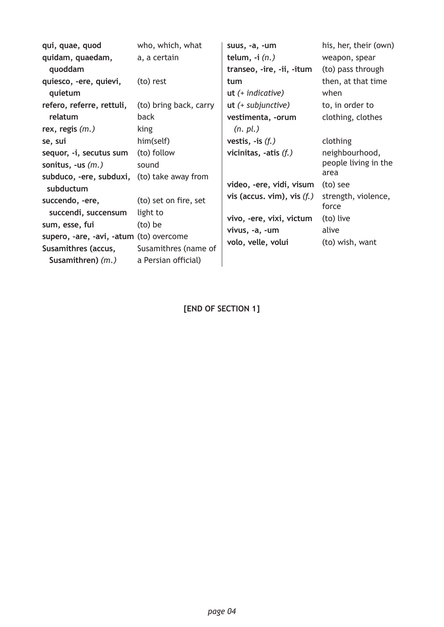| qui, quae, quod<br>quidam, quaedam,<br>quoddam                                                                                                                                                                                                       | who, which, what<br>a, a certain                                                                                                         | suus, -a, -um<br>telum, $-i(n)$<br>transeo, -ire, -ii, -itum                                                                                                                                 | his, her, their (own)<br>weapon, spear<br>(to) pass through                                                                                     |
|------------------------------------------------------------------------------------------------------------------------------------------------------------------------------------------------------------------------------------------------------|------------------------------------------------------------------------------------------------------------------------------------------|----------------------------------------------------------------------------------------------------------------------------------------------------------------------------------------------|-------------------------------------------------------------------------------------------------------------------------------------------------|
| quiesco, -ere, quievi,<br>quietum<br>refero, referre, rettuli,<br>relatum                                                                                                                                                                            | (to) rest<br>(to) bring back, carry<br>back                                                                                              | tum<br>$ut$ (+ indicative)<br>$ut$ (+ subjunctive)<br>vestimenta, -orum                                                                                                                      | then, at that time<br>when<br>to, in order to<br>clothing, clothes                                                                              |
| rex, regis $(m.)$<br>se, sui<br>sequor, -i, secutus sum<br>sonitus, -us $(m.)$<br>subduco, -ere, subduxi,<br>subductum<br>succendo, -ere,<br>succendi, succensum<br>sum, esse, fui<br>supero, -are, -avi, -atum (to) overcome<br>Susamithres (accus, | king<br>him(self)<br>(to) follow<br>sound<br>(to) take away from<br>(to) set on fire, set<br>light to<br>(to) be<br>Susamithres (name of | (n. pl.)<br>vestis, $-$ is $(f.)$<br>vicinitas, -atis $(f.)$<br>video, -ere, vidi, visum<br>vis (accus. vim), vis $(f.)$<br>vivo, -ere, vixi, victum<br>vivus, -a, -um<br>volo, velle, volui | clothing<br>neighbourhood,<br>people living in the<br>area<br>(to) see<br>strength, violence,<br>force<br>(to) live<br>alive<br>(to) wish, want |
| Susamithren) $(m.)$                                                                                                                                                                                                                                  | a Persian official)                                                                                                                      |                                                                                                                                                                                              |                                                                                                                                                 |

**[END OF SECTION 1]**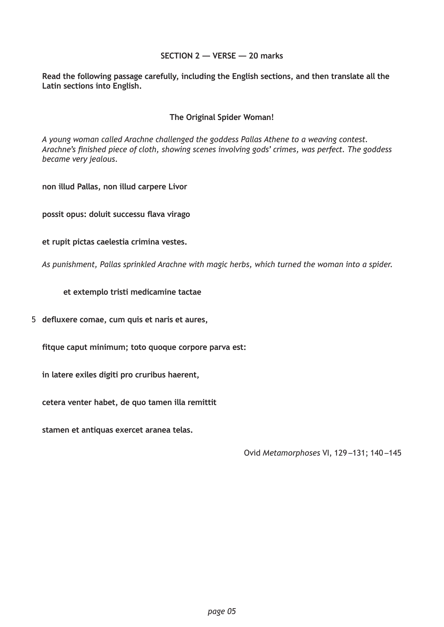#### **SECTION 2 — VERSE — 20 marks**

**Read the following passage carefully, including the English sections, and then translate all the Latin sections into English.**

#### **The Original Spider Woman!**

*A young woman called Arachne challenged the goddess Pallas Athene to a weaving contest. Arachne's finished piece of cloth, showing scenes involving gods' crimes, was perfect. The goddess became very jealous.*

**non illud Pallas, non illud carpere Livor**

**possit opus: doluit successu flava virago**

**et rupit pictas caelestia crimina vestes.**

*As punishment, Pallas sprinkled Arachne with magic herbs, which turned the woman into a spider.*

 **et extemplo tristi medicamine tactae**

**defluxere comae, cum quis et naris et aures,** 5

**fitque caput minimum; toto quoque corpore parva est:**

**in latere exiles digiti pro cruribus haerent,**

**cetera venter habet, de quo tamen illa remittit**

**stamen et antiquas exercet aranea telas.**

Ovid *Metamorphoses* VI, 129 –131; 140 –145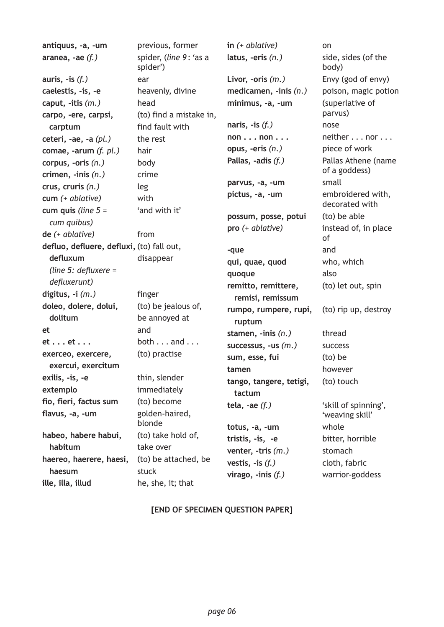| antiquus, -a, -um                         | previous, former                     | in $(+)$ ablative)            | on                                  |
|-------------------------------------------|--------------------------------------|-------------------------------|-------------------------------------|
| aranea, -ae $(f.)$                        | spider, (line 9: 'as a<br>spider')   | latus, -eris $(n.)$           | side, sides (of the<br>body)        |
| auris, $-i$ s $(f.)$                      | ear                                  | Livor, -oris $(m.)$           | Envy (god of envy)                  |
| caelestis, -is, -e                        | heavenly, divine                     | medicamen, $\text{-inis}(n.)$ | poison, magic potion                |
| caput, $-$ itis $(m.)$                    | head                                 | minimus, -a, -um              | (superlative of                     |
| carpo, -ere, carpsi,                      | (to) find a mistake in,              |                               | parvus)                             |
| carptum                                   | find fault with                      | naris, $-$ is $(f.)$          | nose                                |
| ceteri, -ae, -a $(pl.)$                   | the rest                             | nonnon                        | neither nor                         |
| comae, -arum $(f. pl.)$                   | hair                                 | opus, -eris $(n.)$            | piece of work                       |
| corpus, -oris $(n.)$                      | body                                 | Pallas, -adis (f.)            | Pallas Athene (name                 |
| crimen, $\text{-inis}(n.)$                | crime                                |                               | of a goddess)                       |
| crus, cruris $(n.)$                       | leg                                  | parvus, -a, -um               | small                               |
| $cum (+ ablative)$                        | with                                 | pictus, -a, -um               | embroidered with,<br>decorated with |
| cum quis (line $5 =$                      | 'and with it'                        | possum, posse, potui          | (to) be able                        |
| cum quibus)                               |                                      | pro (+ ablative)              | instead of, in place                |
| $de (+ ablative)$                         | from                                 |                               | of                                  |
| defluo, defluere, defluxi, (to) fall out, |                                      | -que                          | and                                 |
| defluxum                                  | disappear                            | qui, quae, quod               | who, which                          |
| (line 5: defluxere =                      |                                      | quoque                        | also                                |
| defluxerunt)                              |                                      | remitto, remittere,           | (to) let out, spin                  |
| digitus, $-i$ $(m.)$                      | finger                               | remisi, remissum              |                                     |
| doleo, dolere, dolui,<br>dolitum          | (to) be jealous of,<br>be annoyed at | rumpo, rumpere, rupi,         | (to) rip up, destroy                |
| et                                        | and                                  | ruptum                        |                                     |
| $et \dots et \dots$                       | both $\dots$ and $\dots$             | stamen, $\text{-inis}(n.)$    | thread                              |
| exerceo, exercere,                        | (to) practise                        | successus, -us $(m.)$         | <b>SUCCESS</b>                      |
| exercui, exercitum                        |                                      | sum, esse, fui                | (to) be                             |
| exilis, -is, -e                           | thin, slender                        | tamen                         | however                             |
| extemplo                                  | immediately                          | tango, tangere, tetigi,       | (to) touch                          |
| fio, fieri, factus sum                    | (to) become                          | tactum                        |                                     |
| flavus, -a, -um                           | golden-haired,                       | tela, -ae $(f.)$              | 'skill of spinning',                |
|                                           | blonde                               |                               | 'weaving skill'                     |
| habeo, habere habui,                      | (to) take hold of,                   | totus, -a, -um                | whole                               |
| habitum                                   | take over                            | tristis, -is, -e              | bitter, horrible                    |
| haereo, haerere, haesi,                   | (to) be attached, be                 | venter, $-tris$ $(m.)$        | stomach                             |
| haesum                                    | stuck                                | vestis, $-$ is $(f.)$         | cloth, fabric                       |
| ille, illa, illud                         | he, she, it; that                    | virago, $\text{-inis}(f.)$    | warrior-goddess                     |
|                                           |                                      |                               |                                     |

## **[END OF SPECIMEN QUESTION PAPER]**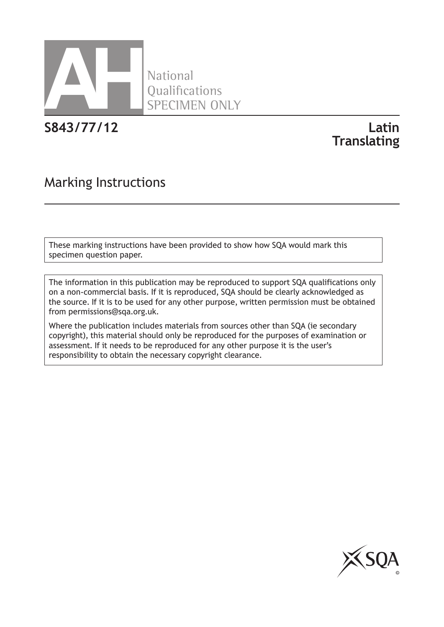

National **Oualifications** SPECIMEN ONLY

**S843/77/12 Latin**

# **Translating**

## Marking Instructions

These marking instructions have been provided to show how SQA would mark this specimen question paper.

The information in this publication may be reproduced to support SQA qualifications only on a non-commercial basis. If it is reproduced, SQA should be clearly acknowledged as the source. If it is to be used for any other purpose, written permission must be obtained from permissions@sqa.org.uk.

Where the publication includes materials from sources other than SQA (ie secondary copyright), this material should only be reproduced for the purposes of examination or assessment. If it needs to be reproduced for any other purpose it is the user's responsibility to obtain the necessary copyright clearance.

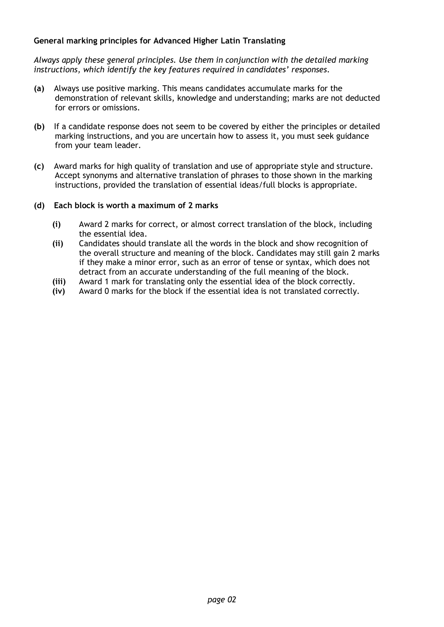#### **General marking principles for Advanced Higher Latin Translating**

*Always apply these general principles. Use them in conjunction with the detailed marking instructions, which identify the key features required in candidates' responses.*

- **(a)** Always use positive marking. This means candidates accumulate marks for the demonstration of relevant skills, knowledge and understanding; marks are not deducted for errors or omissions.
- **(b)** If a candidate response does not seem to be covered by either the principles or detailed marking instructions, and you are uncertain how to assess it, you must seek guidance from your team leader.
- **(c)** Award marks for high quality of translation and use of appropriate style and structure. Accept synonyms and alternative translation of phrases to those shown in the marking instructions, provided the translation of essential ideas/full blocks is appropriate.
- **(d) Each block is worth a maximum of 2 marks**
	- **(i)** Award 2 marks for correct, or almost correct translation of the block, including the essential idea.
	- **(ii)** Candidates should translate all the words in the block and show recognition of the overall structure and meaning of the block. Candidates may still gain 2 marks if they make a minor error, such as an error of tense or syntax, which does not detract from an accurate understanding of the full meaning of the block.
	- **(iii)** Award 1 mark for translating only the essential idea of the block correctly.
	- **(iv)** Award 0 marks for the block if the essential idea is not translated correctly.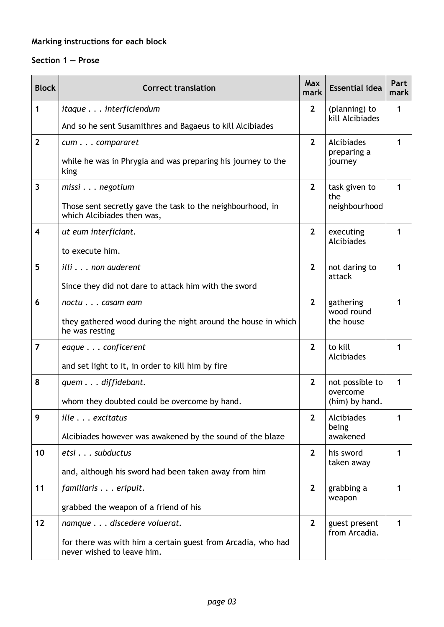## **Marking instructions for each block**

### **Section 1 — Prose**

| <b>Block</b>   | <b>Correct translation</b>                                                                 | Max<br>mark     | <b>Essential idea</b>          | Part<br>mark |
|----------------|--------------------------------------------------------------------------------------------|-----------------|--------------------------------|--------------|
| 1              | <i>itaque</i> interficiendum                                                               | $\mathbf{2}$    | (planning) to                  | 1            |
|                | And so he sent Susamithres and Bagaeus to kill Alcibiades                                  | kill Alcibiades |                                |              |
| $\mathbf{2}$   | cum compararet                                                                             | $\overline{2}$  | Alcibiades<br>preparing a      | 1            |
|                | while he was in Phrygia and was preparing his journey to the<br>king                       |                 | journey                        |              |
| 3              | $missi$ negotium                                                                           | $\overline{2}$  | task given to<br>the           | 1            |
|                | Those sent secretly gave the task to the neighbourhood, in<br>which Alcibiades then was,   |                 | neighbourhood                  |              |
| 4              | ut eum interficiant.                                                                       | $\overline{2}$  | executing<br>Alcibiades        | 1            |
|                | to execute him.                                                                            |                 |                                |              |
| 5              | illi non auderent                                                                          | $\overline{2}$  | not daring to<br>attack        | 1            |
|                | Since they did not dare to attack him with the sword                                       |                 |                                |              |
| 6              | noctu casam eam                                                                            | $2^{1}$         | gathering<br>wood round        | 1            |
|                | they gathered wood during the night around the house in which<br>he was resting            |                 | the house                      |              |
| $\overline{7}$ | eaque conficerent                                                                          | $\overline{2}$  | to kill<br>Alcibiades          | 1            |
|                | and set light to it, in order to kill him by fire                                          |                 |                                |              |
| 8              | quem diffidebant.                                                                          | $2^{\circ}$     | not possible to<br>overcome    | 1            |
|                | whom they doubted could be overcome by hand.                                               |                 | (him) by hand.                 |              |
| 9              | ille excitatus                                                                             | $\overline{2}$  | Alcibiades<br>being            | 1            |
|                | Alcibiades however was awakened by the sound of the blaze                                  |                 | awakened                       |              |
| 10             | etsi subductus                                                                             | $\overline{2}$  | his sword<br>taken away        | 1            |
|                | and, although his sword had been taken away from him                                       |                 |                                |              |
| 11             | familiaris eripuit.                                                                        | $\mathbf{2}$    | grabbing a<br>weapon           | 1            |
|                | grabbed the weapon of a friend of his                                                      |                 |                                |              |
| 12             | namque discedere voluerat.                                                                 | $\mathbf{2}$    | guest present<br>from Arcadia. | 1            |
|                | for there was with him a certain guest from Arcadia, who had<br>never wished to leave him. |                 |                                |              |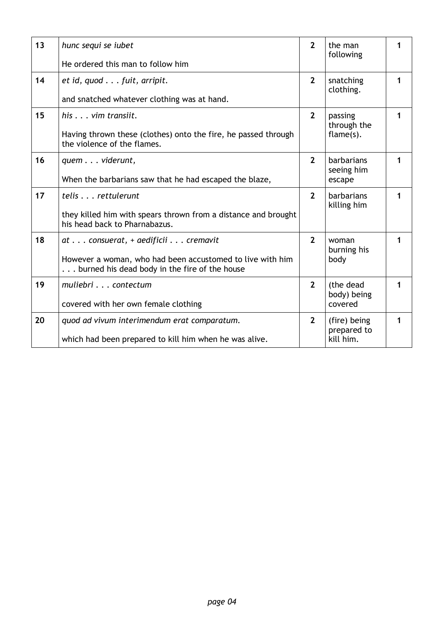| 13 | hunc sequi se <i>iubet</i>                                                                                 | $\overline{2}$ | the man<br>following        | 1 |
|----|------------------------------------------------------------------------------------------------------------|----------------|-----------------------------|---|
|    | He ordered this man to follow him                                                                          |                |                             |   |
| 14 | et id, quod fuit, arripit.                                                                                 | $2^{\circ}$    | snatching<br>clothing.      | 1 |
|    | and snatched whatever clothing was at hand.                                                                |                |                             |   |
| 15 | $his \dots vim$ transiit.                                                                                  | $2^{\circ}$    | passing<br>through the      | 1 |
|    | Having thrown these (clothes) onto the fire, he passed through<br>the violence of the flames.              |                | flame(s).                   |   |
| 16 | quem viderunt,                                                                                             | $\overline{2}$ | barbarians<br>seeing him    | 1 |
|    | When the barbarians saw that he had escaped the blaze,                                                     |                | escape                      |   |
| 17 | telis rettulerunt                                                                                          | $\overline{2}$ | barbarians<br>killing him   | 1 |
|    | they killed him with spears thrown from a distance and brought<br>his head back to Pharnabazus.            |                |                             |   |
| 18 | $at$ consuerat, + aedificii $\ldots$ cremavit                                                              | $\overline{2}$ | woman<br>burning his        | 1 |
|    | However a woman, who had been accustomed to live with him<br>burned his dead body in the fire of the house |                | body                        |   |
| 19 | muliebri contectum                                                                                         | $2^{\circ}$    | (the dead<br>body) being    | 1 |
|    | covered with her own female clothing                                                                       |                | covered                     |   |
| 20 | quod ad vivum interimendum erat comparatum.                                                                | $2^{\circ}$    | (fire) being<br>prepared to | 1 |
|    | which had been prepared to kill him when he was alive.                                                     |                | kill him.                   |   |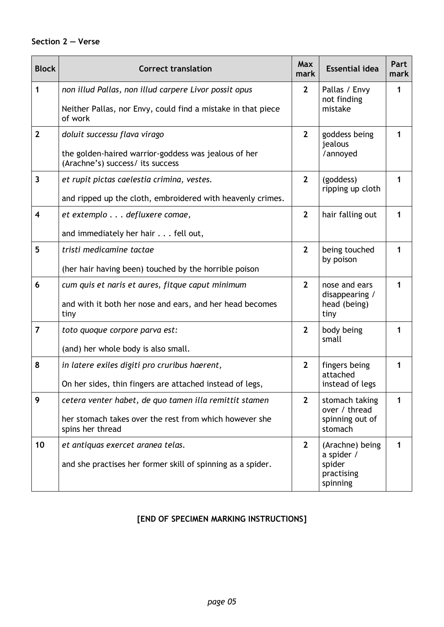## **Section 2 — Verse**

| <b>Block</b>            | <b>Correct translation</b>                                                               | Max<br>mark    | <b>Essential idea</b>                   | Part<br>mark |
|-------------------------|------------------------------------------------------------------------------------------|----------------|-----------------------------------------|--------------|
| $\mathbf{1}$            | non illud Pallas, non illud carpere Livor possit opus                                    | $\mathbf{2}$   | Pallas / Envy<br>not finding<br>mistake | 1            |
|                         | Neither Pallas, nor Envy, could find a mistake in that piece<br>of work                  |                |                                         |              |
| $\mathbf{2}$            | doluit successu flava virago                                                             | $\overline{2}$ | goddess being<br>jealous<br>/annoyed    | 1            |
|                         | the golden-haired warrior-goddess was jealous of her<br>(Arachne's) success/ its success |                |                                         |              |
| 3                       | et rupit pictas caelestia crimina, vestes.                                               | $\mathbf{2}$   | (goddess)<br>ripping up cloth           | 1            |
|                         | and ripped up the cloth, embroidered with heavenly crimes.                               |                |                                         |              |
| $\overline{\mathbf{4}}$ | et extemplo defluxere comae,                                                             | $\overline{2}$ | hair falling out                        | 1            |
|                         | and immediately her hair fell out,                                                       |                |                                         |              |
| 5                       | tristi medicamine tactae                                                                 | $\overline{2}$ | being touched<br>by poison              | 1            |
|                         | (her hair having been) touched by the horrible poison                                    |                |                                         |              |
| 6                       | cum quis et naris et aures, fitque caput minimum                                         | $\overline{2}$ | nose and ears<br>disappearing /         | 1            |
|                         | and with it both her nose and ears, and her head becomes<br>tiny                         |                | head (being)<br>tiny                    |              |
| $\overline{7}$          | toto quoque corpore parva est:                                                           | $\overline{2}$ | body being<br>small                     | 1            |
|                         | (and) her whole body is also small.                                                      |                |                                         |              |
| 8                       | in latere exiles digiti pro cruribus haerent,                                            | $\overline{2}$ | fingers being<br>attached               | 1            |
|                         | On her sides, thin fingers are attached instead of legs,                                 |                | instead of legs                         |              |
| 9                       | cetera venter habet, de quo tamen illa remittit stamen                                   | $\overline{2}$ | stomach taking<br>over / thread         | 1            |
|                         | her stomach takes over the rest from which however she<br>spins her thread               |                | spinning out of<br>stomach              |              |
| 10                      | et antiquas exercet aranea telas.                                                        | $\mathbf{2}$   | (Arachne) being<br>a spider /           | 1            |
|                         | and she practises her former skill of spinning as a spider.                              |                | spider<br>practising<br>spinning        |              |

## **[END OF SPECIMEN MARKING INSTRUCTIONS]**